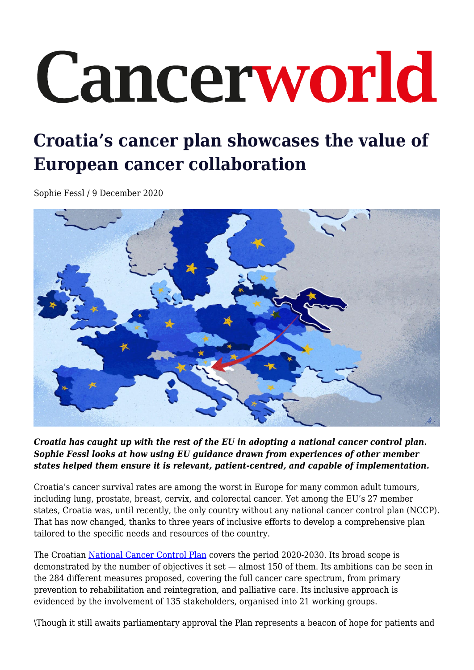# Cancerworld

# **Croatia's cancer plan showcases the value of European cancer collaboration**

Sophie Fessl / 9 December 2020



*Croatia has caught up with the rest of the EU in adopting a national cancer control plan. Sophie Fessl looks at how using EU guidance drawn from experiences of other member states helped them ensure it is relevant, patient-centred, and capable of implementation.*

Croatia's cancer survival rates are among the worst in Europe for many common adult tumours, including lung, prostate, breast, cervix, and colorectal cancer. Yet among the EU's 27 member states, Croatia was, until recently, the only country without any national cancer control plan (NCCP). That has now changed, thanks to three years of inclusive efforts to develop a comprehensive plan tailored to the specific needs and resources of the country.

The Croatian [National Cancer Control Plan](https://www.nppr.hr/wp-content/uploads/2020/01/NPPR_ENG_final.pdf) covers the period 2020-2030. Its broad scope is demonstrated by the number of objectives it set — almost 150 of them. Its ambitions can be seen in the 284 different measures proposed, covering the full cancer care spectrum, from primary prevention to rehabilitation and reintegration, and palliative care. Its inclusive approach is evidenced by the involvement of 135 stakeholders, organised into 21 working groups.

\Though it still awaits parliamentary approval the Plan represents a beacon of hope for patients and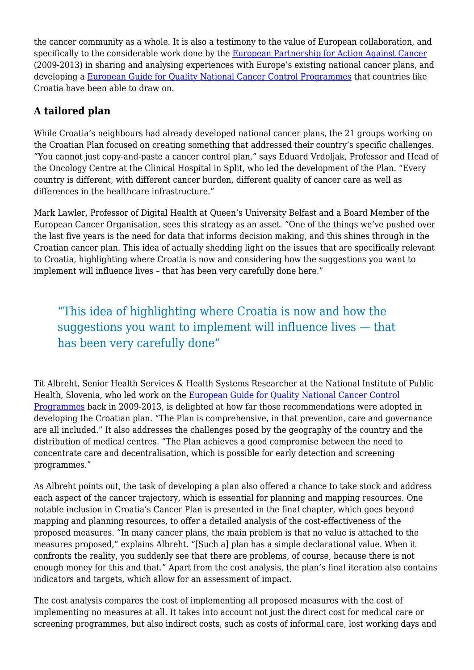the cancer community as a whole. It is also a testimony to the value of European collaboration, and specifically to the considerable work done by the [European Partnership for Action Against Cancer](http://www.epaac.eu/) (2009-2013) in sharing and analysing experiences with Europe's existing national cancer plans, and developing a [European Guide for Quality National Cancer Control Programmes](http://www.epaac.eu/images/WP_10/European_Guide_for_Quality_National_Cancer_Control_Programmes_EPAAC.pdf) that countries like Croatia have been able to draw on.

#### **A tailored plan**

While Croatia's neighbours had already developed national cancer plans, the 21 groups working on the Croatian Plan focused on creating something that addressed their country's specific challenges. "You cannot just copy-and-paste a cancer control plan," says Eduard Vrdoljak, Professor and Head of the Oncology Centre at the Clinical Hospital in Split, who led the development of the Plan. "Every country is different, with different cancer burden, different quality of cancer care as well as differences in the healthcare infrastructure."

Mark Lawler, Professor of Digital Health at Queen's University Belfast and a Board Member of the European Cancer Organisation, sees this strategy as an asset. "One of the things we've pushed over the last five years is the need for data that informs decision making, and this shines through in the Croatian cancer plan. This idea of actually shedding light on the issues that are specifically relevant to Croatia, highlighting where Croatia is now and considering how the suggestions you want to implement will influence lives – that has been very carefully done here."

# "This idea of highlighting where Croatia is now and how the suggestions you want to implement will influence lives — that has been very carefully done"

Tit Albreht, Senior Health Services & Health Systems Researcher at the National Institute of Public Health, Slovenia, who led work on the [European Guide for Quality National Cancer Control](http://www.epaac.eu/images/WP_10/European_Guide_for_Quality_National_Cancer_Control_Programmes_EPAAC.pdf) [Programmes](http://www.epaac.eu/images/WP_10/European_Guide_for_Quality_National_Cancer_Control_Programmes_EPAAC.pdf) back in 2009-2013, is delighted at how far those recommendations were adopted in developing the Croatian plan. "The Plan is comprehensive, in that prevention, care and governance are all included." It also addresses the challenges posed by the geography of the country and the distribution of medical centres. "The Plan achieves a good compromise between the need to concentrate care and decentralisation, which is possible for early detection and screening programmes."

As Albreht points out, the task of developing a plan also offered a chance to take stock and address each aspect of the cancer trajectory, which is essential for planning and mapping resources. One notable inclusion in Croatia's Cancer Plan is presented in the final chapter, which goes beyond mapping and planning resources, to offer a detailed analysis of the cost-effectiveness of the proposed measures. "In many cancer plans, the main problem is that no value is attached to the measures proposed," explains Albreht. "[Such a] plan has a simple declarational value. When it confronts the reality, you suddenly see that there are problems, of course, because there is not enough money for this and that." Apart from the cost analysis, the plan's final iteration also contains indicators and targets, which allow for an assessment of impact.

The cost analysis compares the cost of implementing all proposed measures with the cost of implementing no measures at all. It takes into account not just the direct cost for medical care or screening programmes, but also indirect costs, such as costs of informal care, lost working days and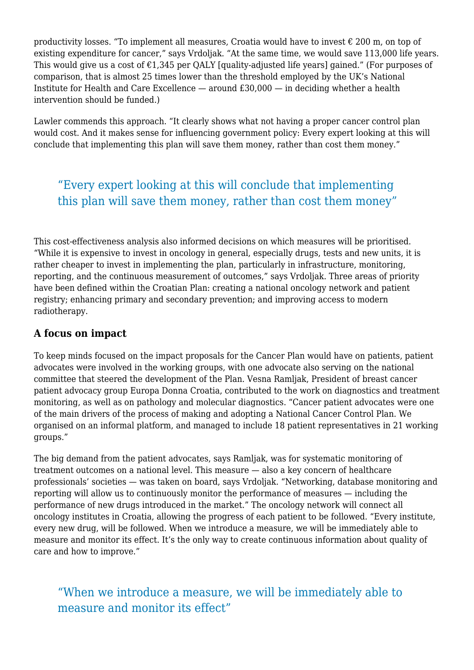productivity losses. "To implement all measures, Croatia would have to invest  $\epsilon$  200 m, on top of existing expenditure for cancer," says Vrdoljak. "At the same time, we would save 113,000 life years. This would give us a cost of  $\epsilon$ 1,345 per QALY [quality-adjusted life years] gained." (For purposes of comparison, that is almost 25 times lower than the threshold employed by the UK's National Institute for Health and Care Excellence — around £30,000 — in deciding whether a health intervention should be funded.)

Lawler commends this approach. "It clearly shows what not having a proper cancer control plan would cost. And it makes sense for influencing government policy: Every expert looking at this will conclude that implementing this plan will save them money, rather than cost them money."

## "Every expert looking at this will conclude that implementing this plan will save them money, rather than cost them money"

This cost-effectiveness analysis also informed decisions on which measures will be prioritised. "While it is expensive to invest in oncology in general, especially drugs, tests and new units, it is rather cheaper to invest in implementing the plan, particularly in infrastructure, monitoring, reporting, and the continuous measurement of outcomes," says Vrdoljak. Three areas of priority have been defined within the Croatian Plan: creating a national oncology network and patient registry; enhancing primary and secondary prevention; and improving access to modern radiotherapy.

#### **A focus on impact**

To keep minds focused on the impact proposals for the Cancer Plan would have on patients, patient advocates were involved in the working groups, with one advocate also serving on the national committee that steered the development of the Plan. Vesna Ramljak, President of breast cancer patient advocacy group Europa Donna Croatia, contributed to the work on diagnostics and treatment monitoring, as well as on pathology and molecular diagnostics. "Cancer patient advocates were one of the main drivers of the process of making and adopting a National Cancer Control Plan. We organised on an informal platform, and managed to include 18 patient representatives in 21 working groups."

The big demand from the patient advocates, says Ramljak, was for systematic monitoring of treatment outcomes on a national level. This measure — also a key concern of healthcare professionals' societies — was taken on board, says Vrdoljak. "Networking, database monitoring and reporting will allow us to continuously monitor the performance of measures — including the performance of new drugs introduced in the market." The oncology network will connect all oncology institutes in Croatia, allowing the progress of each patient to be followed. "Every institute, every new drug, will be followed. When we introduce a measure, we will be immediately able to measure and monitor its effect. It's the only way to create continuous information about quality of care and how to improve."

### "When we introduce a measure, we will be immediately able to measure and monitor its effect"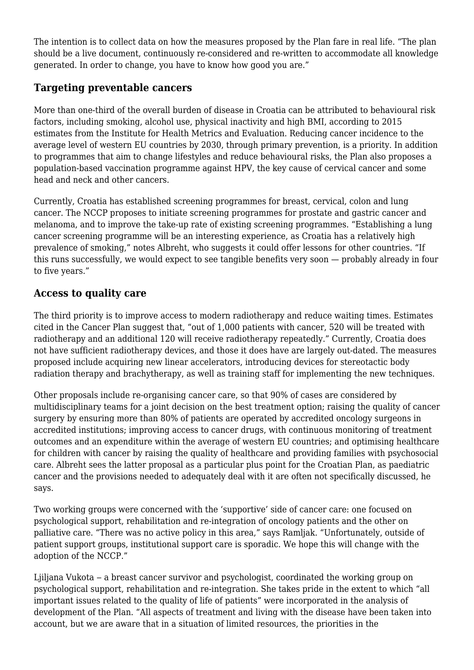The intention is to collect data on how the measures proposed by the Plan fare in real life. "The plan should be a live document, continuously re-considered and re-written to accommodate all knowledge generated. In order to change, you have to know how good you are."

#### **Targeting preventable cancers**

More than one-third of the overall burden of disease in Croatia can be attributed to behavioural risk factors, including smoking, alcohol use, physical inactivity and high BMI, according to 2015 estimates from the Institute for Health Metrics and Evaluation. Reducing cancer incidence to the average level of western EU countries by 2030, through primary prevention, is a priority. In addition to programmes that aim to change lifestyles and reduce behavioural risks, the Plan also proposes a population-based vaccination programme against HPV, the key cause of cervical cancer and some head and neck and other cancers.

Currently, Croatia has established screening programmes for breast, cervical, colon and lung cancer. The NCCP proposes to initiate screening programmes for prostate and gastric cancer and melanoma, and to improve the take-up rate of existing screening programmes. "Establishing a lung cancer screening programme will be an interesting experience, as Croatia has a relatively high prevalence of smoking," notes Albreht, who suggests it could offer lessons for other countries. "If this runs successfully, we would expect to see tangible benefits very soon — probably already in four to five years."

#### **Access to quality care**

The third priority is to improve access to modern radiotherapy and reduce waiting times. Estimates cited in the Cancer Plan suggest that, "out of 1,000 patients with cancer, 520 will be treated with radiotherapy and an additional 120 will receive radiotherapy repeatedly." Currently, Croatia does not have sufficient radiotherapy devices, and those it does have are largely out-dated. The measures proposed include acquiring new linear accelerators, introducing devices for stereotactic body radiation therapy and brachytherapy, as well as training staff for implementing the new techniques.

Other proposals include re-organising cancer care, so that 90% of cases are considered by multidisciplinary teams for a joint decision on the best treatment option; raising the quality of cancer surgery by ensuring more than 80% of patients are operated by accredited oncology surgeons in accredited institutions; improving access to cancer drugs, with continuous monitoring of treatment outcomes and an expenditure within the average of western EU countries; and optimising healthcare for children with cancer by raising the quality of healthcare and providing families with psychosocial care. Albreht sees the latter proposal as a particular plus point for the Croatian Plan, as paediatric cancer and the provisions needed to adequately deal with it are often not specifically discussed, he says.

Two working groups were concerned with the 'supportive' side of cancer care: one focused on psychological support, rehabilitation and re-integration of oncology patients and the other on palliative care. "There was no active policy in this area," says Ramljak. "Unfortunately, outside of patient support groups, institutional support care is sporadic. We hope this will change with the adoption of the NCCP."

Ljiljana Vukota – a breast cancer survivor and psychologist, coordinated the working group on psychological support, rehabilitation and re-integration. She takes pride in the extent to which "all important issues related to the quality of life of patients" were incorporated in the analysis of development of the Plan. "All aspects of treatment and living with the disease have been taken into account, but we are aware that in a situation of limited resources, the priorities in the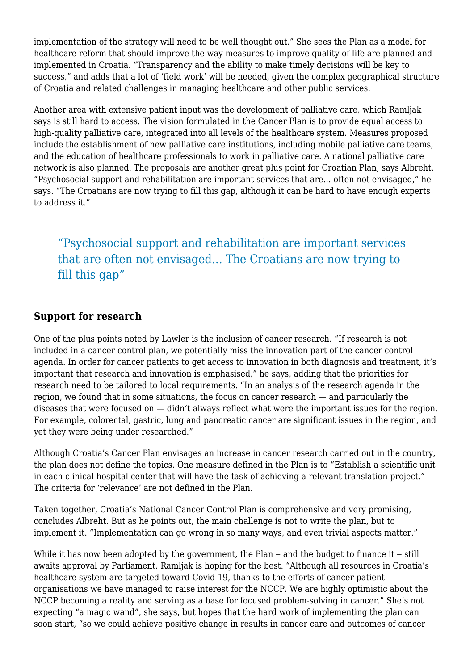implementation of the strategy will need to be well thought out." She sees the Plan as a model for healthcare reform that should improve the way measures to improve quality of life are planned and implemented in Croatia. "Transparency and the ability to make timely decisions will be key to success," and adds that a lot of 'field work' will be needed, given the complex geographical structure of Croatia and related challenges in managing healthcare and other public services.

Another area with extensive patient input was the development of palliative care, which Ramljak says is still hard to access. The vision formulated in the Cancer Plan is to provide equal access to high-quality palliative care, integrated into all levels of the healthcare system. Measures proposed include the establishment of new palliative care institutions, including mobile palliative care teams, and the education of healthcare professionals to work in palliative care. A national palliative care network is also planned. The proposals are another great plus point for Croatian Plan, says Albreht. "Psychosocial support and rehabilitation are important services that are… often not envisaged," he says. "The Croatians are now trying to fill this gap, although it can be hard to have enough experts to address it."

"Psychosocial support and rehabilitation are important services that are often not envisaged… The Croatians are now trying to fill this gap"

#### **Support for research**

One of the plus points noted by Lawler is the inclusion of cancer research. "If research is not included in a cancer control plan, we potentially miss the innovation part of the cancer control agenda. In order for cancer patients to get access to innovation in both diagnosis and treatment, it's important that research and innovation is emphasised," he says, adding that the priorities for research need to be tailored to local requirements. "In an analysis of the research agenda in the region, we found that in some situations, the focus on cancer research — and particularly the diseases that were focused on — didn't always reflect what were the important issues for the region. For example, colorectal, gastric, lung and pancreatic cancer are significant issues in the region, and yet they were being under researched."

Although Croatia's Cancer Plan envisages an increase in cancer research carried out in the country, the plan does not define the topics. One measure defined in the Plan is to "Establish a scientific unit in each clinical hospital center that will have the task of achieving a relevant translation project." The criteria for 'relevance' are not defined in the Plan.

Taken together, Croatia's National Cancer Control Plan is comprehensive and very promising, concludes Albreht. But as he points out, the main challenge is not to write the plan, but to implement it. "Implementation can go wrong in so many ways, and even trivial aspects matter."

While it has now been adopted by the government, the Plan  $-$  and the budget to finance it  $-$  still awaits approval by Parliament. Ramljak is hoping for the best. "Although all resources in Croatia's healthcare system are targeted toward Covid-19, thanks to the efforts of cancer patient organisations we have managed to raise interest for the NCCP. We are highly optimistic about the NCCP becoming a reality and serving as a base for focused problem-solving in cancer." She's not expecting "a magic wand", she says, but hopes that the hard work of implementing the plan can soon start, "so we could achieve positive change in results in cancer care and outcomes of cancer